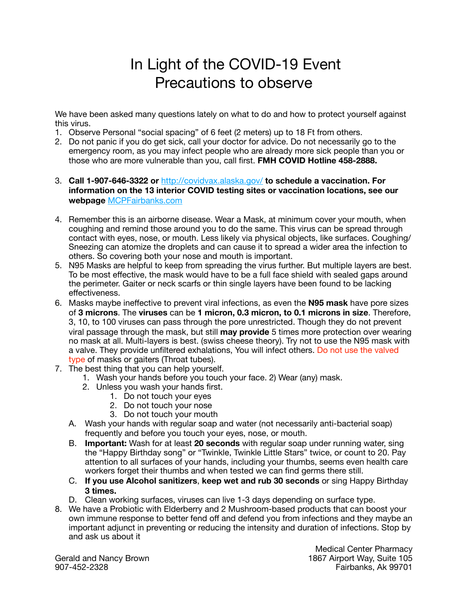## In Light of the COVID-19 Event Precautions to observe

We have been asked many questions lately on what to do and how to protect yourself against this virus.

- 1. Observe Personal "social spacing" of 6 feet (2 meters) up to 18 Ft from others.
- 2. Do not panic if you do get sick, call your doctor for advice. Do not necessarily go to the emergency room, as you may infect people who are already more sick people than you or those who are more vulnerable than you, call first. **FMH COVID Hotline 458-2888.**
- 3. **Call 1-907-646-3322 or** <http://covidvax.alaska.gov/> **to schedule a vaccination. For information on the 13 interior COVID testing sites or vaccination locations, see our webpage** [MCPFairbanks.com](http://www.MCPFairbanks.com)
- 4. Remember this is an airborne disease. Wear a Mask, at minimum cover your mouth, when coughing and remind those around you to do the same. This virus can be spread through contact with eyes, nose, or mouth. Less likely via physical objects, like surfaces. Coughing/ Sneezing can atomize the droplets and can cause it to spread a wider area the infection to others. So covering both your nose and mouth is important.
- 5. N95 Masks are helpful to keep from spreading the virus further. But multiple layers are best. To be most effective, the mask would have to be a full face shield with sealed gaps around the perimeter. Gaiter or neck scarfs or thin single layers have been found to be lacking effectiveness.
- 6. Masks maybe ineffective to prevent viral infections, as even the **N95 mask** have pore sizes of **3 microns**. The **viruses** can be **1 micron, 0.3 micron, to 0.1 microns in size**. Therefore, 3, 10, to 100 viruses can pass through the pore unrestricted. Though they do not prevent viral passage through the mask, but still **may provide** 5 times more protection over wearing no mask at all. Multi-layers is best. (swiss cheese theory). Try not to use the N95 mask with a valve. They provide unfiltered exhalations, You will infect others. Do not use the valved type of masks or gaiters (Throat tubes).
- 7. The best thing that you can help yourself.
	- 1. Wash your hands before you touch your face. 2) Wear (any) mask.
	- 2. Unless you wash your hands first.
		- 1. Do not touch your eyes
		- 2. Do not touch your nose
		- 3. Do not touch your mouth
	- A. Wash your hands with regular soap and water (not necessarily anti-bacterial soap) frequently and before you touch your eyes, nose, or mouth.
	- B. **Important:** Wash for at least **20 seconds** with regular soap under running water, sing the "Happy Birthday song" or "Twinkle, Twinkle Little Stars" twice, or count to 20. Pay attention to all surfaces of your hands, including your thumbs, seems even health care workers forget their thumbs and when tested we can find germs there still.
	- C. **If you use Alcohol sanitizers**, **keep wet and rub 30 seconds** or sing Happy Birthday **3 times.**
	- D. Clean working surfaces, viruses can live 1-3 days depending on surface type.
- 8. We have a Probiotic with Elderberry and 2 Mushroom-based products that can boost your own immune response to better fend off and defend you from infections and they maybe an important adjunct in preventing or reducing the intensity and duration of infections. Stop by and ask us about it

Gerald and Nancy Brown 907-452-2328

Medical Center Pharmacy 1867 Airport Way, Suite 105 Fairbanks, Ak 99701